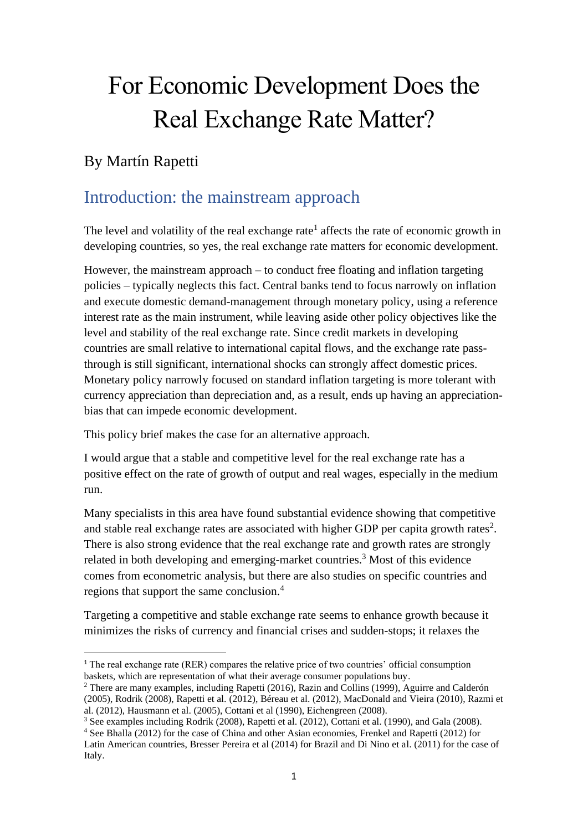# For Economic Development Does the Real Exchange Rate Matter?

#### By Martín Rapetti

### Introduction: the mainstream approach

The level and volatility of the real exchange rate<sup>1</sup> affects the rate of economic growth in developing countries, so yes, the real exchange rate matters for economic development.

However, the mainstream approach – to conduct free floating and inflation targeting policies – typically neglects this fact. Central banks tend to focus narrowly on inflation and execute domestic demand-management through monetary policy, using a reference interest rate as the main instrument, while leaving aside other policy objectives like the level and stability of the real exchange rate. Since credit markets in developing countries are small relative to international capital flows, and the exchange rate passthrough is still significant, international shocks can strongly affect domestic prices. Monetary policy narrowly focused on standard inflation targeting is more tolerant with currency appreciation than depreciation and, as a result, ends up having an appreciationbias that can impede economic development.

This policy brief makes the case for an alternative approach.

I would argue that a stable and competitive level for the real exchange rate has a positive effect on the rate of growth of output and real wages, especially in the medium run.

Many specialists in this area have found substantial evidence showing that competitive and stable real exchange rates are associated with higher GDP per capita growth rates<sup>2</sup>. There is also strong evidence that the real exchange rate and growth rates are strongly related in both developing and emerging-market countries.<sup>3</sup> Most of this evidence comes from econometric analysis, but there are also studies on specific countries and regions that support the same conclusion.<sup>4</sup>

Targeting a competitive and stable exchange rate seems to enhance growth because it minimizes the risks of currency and financial crises and sudden-stops; it relaxes the

<sup>2</sup> There are many examples, including Rapetti (2016), Razin and Collins (1999), Aguirre and Calderón (2005), Rodrik (2008), Rapetti et al. (2012), Béreau et al. (2012), MacDonald and Vieira (2010), Razmi et al. (2012), Hausmann et al. (2005), Cottani et al (1990), Eichengreen (2008).

<sup>4</sup> See Bhalla (2012) for the case of China and other Asian economies, Frenkel and Rapetti (2012) for Latin American countries, Bresser Pereira et al (2014) for Brazil and Di Nino et al. (2011) for the case of Italy.

<sup>1</sup> The real exchange rate (RER) compares the relative price of two countries' official consumption baskets, which are representation of what their average consumer populations buy.

<sup>&</sup>lt;sup>3</sup> See examples including Rodrik (2008), Rapetti et al. (2012), Cottani et al. (1990), and Gala (2008).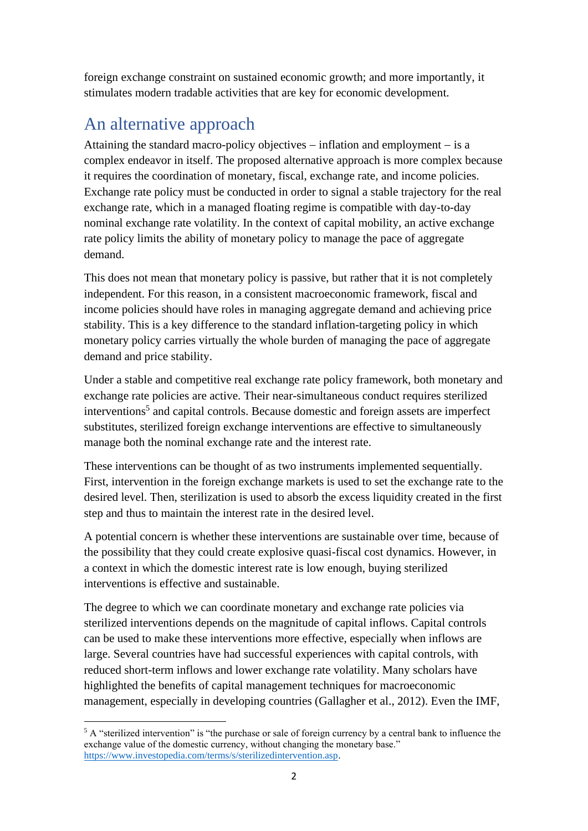foreign exchange constraint on sustained economic growth; and more importantly, it stimulates modern tradable activities that are key for economic development.

# An alternative approach

Attaining the standard macro-policy objectives − inflation and employment − is a complex endeavor in itself. The proposed alternative approach is more complex because it requires the coordination of monetary, fiscal, exchange rate, and income policies. Exchange rate policy must be conducted in order to signal a stable trajectory for the real exchange rate, which in a managed floating regime is compatible with day-to-day nominal exchange rate volatility. In the context of capital mobility, an active exchange rate policy limits the ability of monetary policy to manage the pace of aggregate demand.

This does not mean that monetary policy is passive, but rather that it is not completely independent. For this reason, in a consistent macroeconomic framework, fiscal and income policies should have roles in managing aggregate demand and achieving price stability. This is a key difference to the standard inflation-targeting policy in which monetary policy carries virtually the whole burden of managing the pace of aggregate demand and price stability.

Under a stable and competitive real exchange rate policy framework, both monetary and exchange rate policies are active. Their near-simultaneous conduct requires sterilized interventions<sup>5</sup> and capital controls. Because domestic and foreign assets are imperfect substitutes, sterilized foreign exchange interventions are effective to simultaneously manage both the nominal exchange rate and the interest rate.

These interventions can be thought of as two instruments implemented sequentially. First, intervention in the foreign exchange markets is used to set the exchange rate to the desired level. Then, sterilization is used to absorb the excess liquidity created in the first step and thus to maintain the interest rate in the desired level.

A potential concern is whether these interventions are sustainable over time, because of the possibility that they could create explosive quasi-fiscal cost dynamics. However, in a context in which the domestic interest rate is low enough, buying sterilized interventions is effective and sustainable.

The degree to which we can coordinate monetary and exchange rate policies via sterilized interventions depends on the magnitude of capital inflows. Capital controls can be used to make these interventions more effective, especially when inflows are large. Several countries have had successful experiences with capital controls, with reduced short-term inflows and lower exchange rate volatility. Many scholars have highlighted the benefits of capital management techniques for macroeconomic management, especially in developing countries (Gallagher et al., 2012). Even the IMF,

<sup>&</sup>lt;sup>5</sup> A "sterilized intervention" is "the purchase or sale of foreign currency by a central bank to influence the exchange value of the domestic currency, without changing the monetary base." [https://www.investopedia.com/terms/s/sterilizedintervention.asp.](https://www.investopedia.com/terms/s/sterilizedintervention.asp)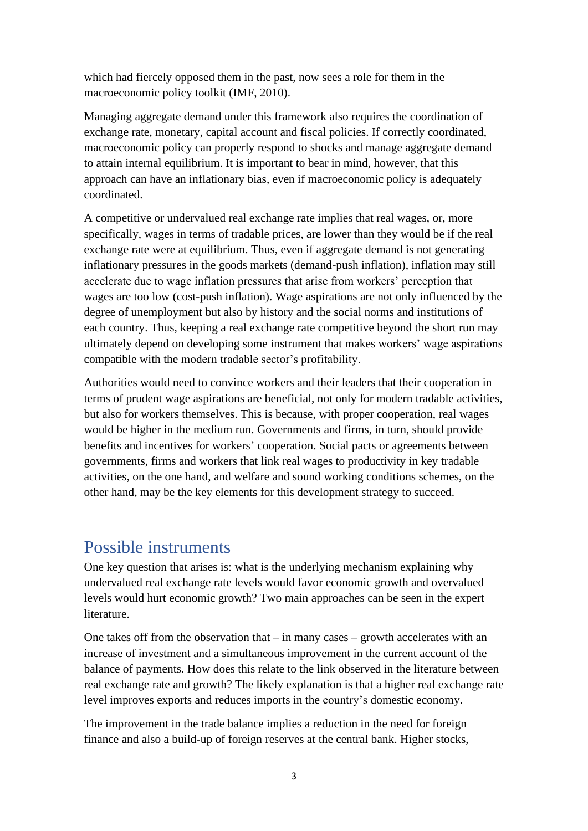which had fiercely opposed them in the past, now sees a role for them in the macroeconomic policy toolkit (IMF, 2010).

Managing aggregate demand under this framework also requires the coordination of exchange rate, monetary, capital account and fiscal policies. If correctly coordinated, macroeconomic policy can properly respond to shocks and manage aggregate demand to attain internal equilibrium. It is important to bear in mind, however, that this approach can have an inflationary bias, even if macroeconomic policy is adequately coordinated.

A competitive or undervalued real exchange rate implies that real wages, or, more specifically, wages in terms of tradable prices, are lower than they would be if the real exchange rate were at equilibrium. Thus, even if aggregate demand is not generating inflationary pressures in the goods markets (demand-push inflation), inflation may still accelerate due to wage inflation pressures that arise from workers' perception that wages are too low (cost-push inflation). Wage aspirations are not only influenced by the degree of unemployment but also by history and the social norms and institutions of each country. Thus, keeping a real exchange rate competitive beyond the short run may ultimately depend on developing some instrument that makes workers' wage aspirations compatible with the modern tradable sector's profitability.

Authorities would need to convince workers and their leaders that their cooperation in terms of prudent wage aspirations are beneficial, not only for modern tradable activities, but also for workers themselves. This is because, with proper cooperation, real wages would be higher in the medium run. Governments and firms, in turn, should provide benefits and incentives for workers' cooperation. Social pacts or agreements between governments, firms and workers that link real wages to productivity in key tradable activities, on the one hand, and welfare and sound working conditions schemes, on the other hand, may be the key elements for this development strategy to succeed.

#### Possible instruments

One key question that arises is: what is the underlying mechanism explaining why undervalued real exchange rate levels would favor economic growth and overvalued levels would hurt economic growth? Two main approaches can be seen in the expert literature.

One takes off from the observation that  $-$  in many cases  $-$  growth accelerates with an increase of investment and a simultaneous improvement in the current account of the balance of payments. How does this relate to the link observed in the literature between real exchange rate and growth? The likely explanation is that a higher real exchange rate level improves exports and reduces imports in the country's domestic economy.

The improvement in the trade balance implies a reduction in the need for foreign finance and also a build-up of foreign reserves at the central bank. Higher stocks,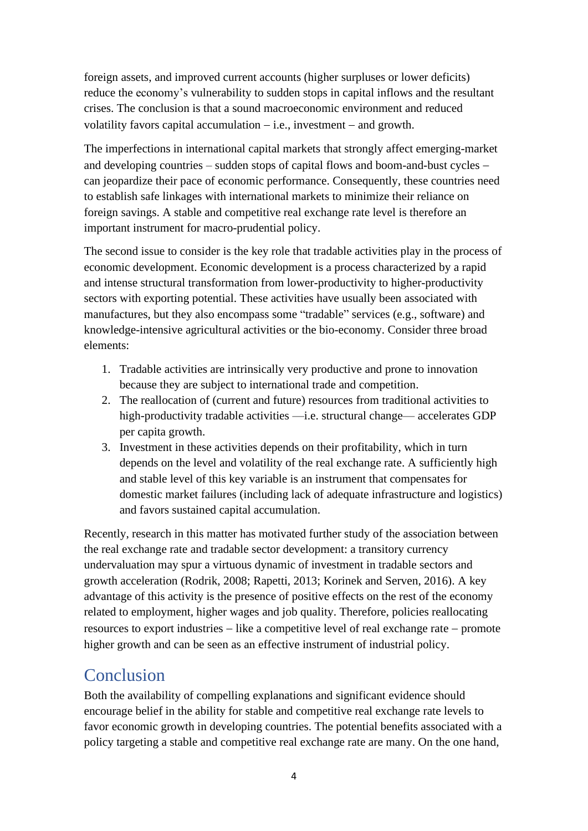foreign assets, and improved current accounts (higher surpluses or lower deficits) reduce the economy's vulnerability to sudden stops in capital inflows and the resultant crises. The conclusion is that a sound macroeconomic environment and reduced volatility favors capital accumulation − i.e., investment − and growth.

The imperfections in international capital markets that strongly affect emerging-market and developing countries – sudden stops of capital flows and boom-and-bust cycles − can jeopardize their pace of economic performance. Consequently, these countries need to establish safe linkages with international markets to minimize their reliance on foreign savings. A stable and competitive real exchange rate level is therefore an important instrument for macro-prudential policy.

The second issue to consider is the key role that tradable activities play in the process of economic development. Economic development is a process characterized by a rapid and intense structural transformation from lower-productivity to higher-productivity sectors with exporting potential. These activities have usually been associated with manufactures, but they also encompass some "tradable" services (e.g., software) and knowledge-intensive agricultural activities or the bio-economy. Consider three broad elements:

- 1. Tradable activities are intrinsically very productive and prone to innovation because they are subject to international trade and competition.
- 2. The reallocation of (current and future) resources from traditional activities to high-productivity tradable activities —i.e. structural change— accelerates GDP per capita growth.
- 3. Investment in these activities depends on their profitability, which in turn depends on the level and volatility of the real exchange rate. A sufficiently high and stable level of this key variable is an instrument that compensates for domestic market failures (including lack of adequate infrastructure and logistics) and favors sustained capital accumulation.

Recently, research in this matter has motivated further study of the association between the real exchange rate and tradable sector development: a transitory currency undervaluation may spur a virtuous dynamic of investment in tradable sectors and growth acceleration (Rodrik, 2008; Rapetti, 2013; Korinek and Serven, 2016). A key advantage of this activity is the presence of positive effects on the rest of the economy related to employment, higher wages and job quality. Therefore, policies reallocating resources to export industries − like a competitive level of real exchange rate − promote higher growth and can be seen as an effective instrument of industrial policy.

# Conclusion

Both the availability of compelling explanations and significant evidence should encourage belief in the ability for stable and competitive real exchange rate levels to favor economic growth in developing countries. The potential benefits associated with a policy targeting a stable and competitive real exchange rate are many. On the one hand,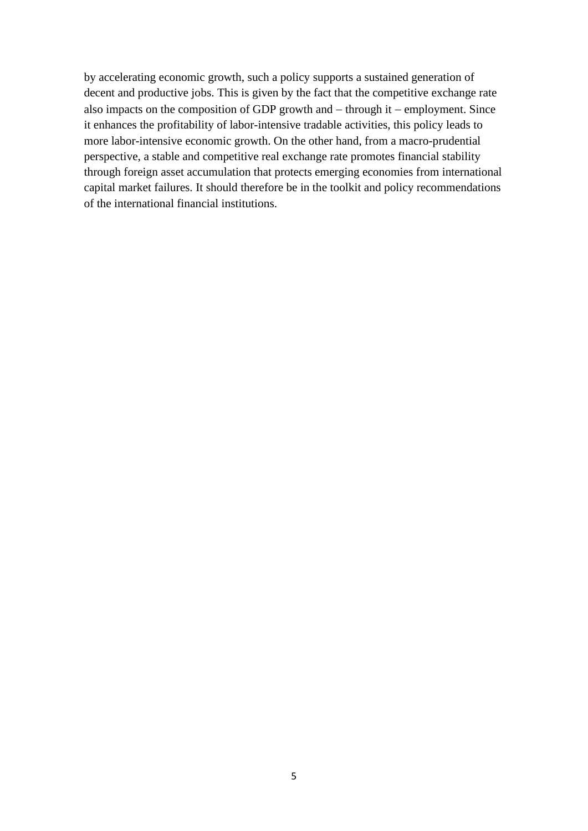by accelerating economic growth, such a policy supports a sustained generation of decent and productive jobs. This is given by the fact that the competitive exchange rate also impacts on the composition of GDP growth and − through it − employment. Since it enhances the profitability of labor-intensive tradable activities, this policy leads to more labor-intensive economic growth. On the other hand, from a macro-prudential perspective, a stable and competitive real exchange rate promotes financial stability through foreign asset accumulation that protects emerging economies from international capital market failures. It should therefore be in the toolkit and policy recommendations of the international financial institutions.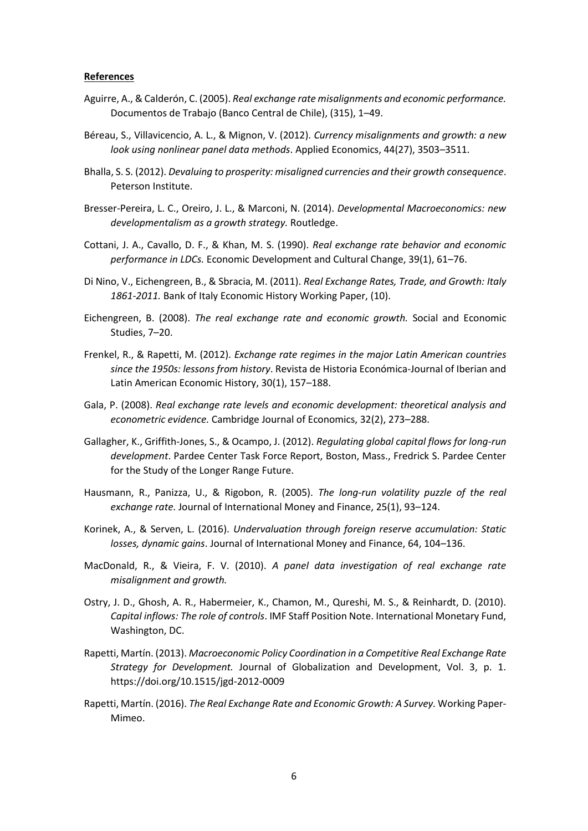#### **References**

- Aguirre, A., & Calderón, C. (2005). *Real exchange rate misalignments and economic performance.* Documentos de Trabajo (Banco Central de Chile), (315), 1–49.
- Béreau, S., Villavicencio, A. L., & Mignon, V. (2012). *Currency misalignments and growth: a new look using nonlinear panel data methods*. Applied Economics, 44(27), 3503–3511.
- Bhalla, S. S. (2012). *Devaluing to prosperity: misaligned currencies and their growth consequence*. Peterson Institute.
- Bresser-Pereira, L. C., Oreiro, J. L., & Marconi, N. (2014). *Developmental Macroeconomics: new developmentalism as a growth strategy.* Routledge.
- Cottani, J. A., Cavallo, D. F., & Khan, M. S. (1990). *Real exchange rate behavior and economic performance in LDCs.* Economic Development and Cultural Change, 39(1), 61–76.
- Di Nino, V., Eichengreen, B., & Sbracia, M. (2011). *Real Exchange Rates, Trade, and Growth: Italy 1861-2011.* Bank of Italy Economic History Working Paper, (10).
- Eichengreen, B. (2008). *The real exchange rate and economic growth.* Social and Economic Studies, 7–20.
- Frenkel, R., & Rapetti, M. (2012). *Exchange rate regimes in the major Latin American countries since the 1950s: lessons from history*. Revista de Historia Económica-Journal of Iberian and Latin American Economic History, 30(1), 157–188.
- Gala, P. (2008). *Real exchange rate levels and economic development: theoretical analysis and econometric evidence.* Cambridge Journal of Economics, 32(2), 273–288.
- Gallagher, K., Griffith‐Jones, S., & Ocampo, J. (2012). *Regulating global capital flows for long-run development*. Pardee Center Task Force Report, Boston, Mass., Fredrick S. Pardee Center for the Study of the Longer Range Future.
- Hausmann, R., Panizza, U., & Rigobon, R. (2005). *The long-run volatility puzzle of the real exchange rate.* Journal of International Money and Finance, 25(1), 93–124.
- Korinek, A., & Serven, L. (2016). *Undervaluation through foreign reserve accumulation: Static losses, dynamic gains*. Journal of International Money and Finance, 64, 104–136.
- MacDonald, R., & Vieira, F. V. (2010). *A panel data investigation of real exchange rate misalignment and growth.*
- Ostry, J. D., Ghosh, A. R., Habermeier, K., Chamon, M., Qureshi, M. S., & Reinhardt, D. (2010). *Capital inflows: The role of controls*. IMF Staff Position Note. International Monetary Fund, Washington, DC.
- Rapetti, Martín. (2013). *Macroeconomic Policy Coordination in a Competitive Real Exchange Rate Strategy for Development.* Journal of Globalization and Development, Vol. 3, p. 1. https://doi.org/10.1515/jgd-2012-0009
- Rapetti, Martín. (2016). *The Real Exchange Rate and Economic Growth: A Survey.* Working Paper-Mimeo.